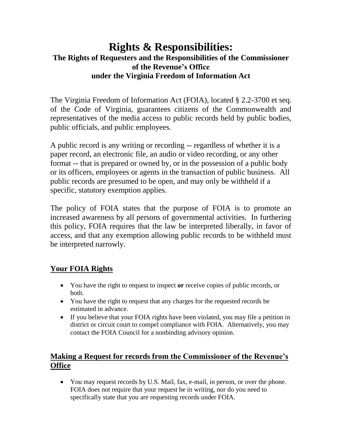# **Rights & Responsibilities: The Rights of Requesters and the Responsibilities of the Commissioner of the Revenue's Office under the Virginia Freedom of Information Act**

The Virginia Freedom of Information Act (FOIA), located § 2.2-3700 et seq. of the Code of Virginia, guarantees citizens of the Commonwealth and representatives of the media access to public records held by public bodies, public officials, and public employees.

A public record is any writing or recording -- regardless of whether it is a paper record, an electronic file, an audio or video recording, or any other format -- that is prepared or owned by, or in the possession of a public body or its officers, employees or agents in the transaction of public business. All public records are presumed to be open, and may only be withheld if a specific, statutory exemption applies.

The policy of FOIA states that the purpose of FOIA is to promote an increased awareness by all persons of governmental activities. In furthering this policy, FOIA requires that the law be interpreted liberally, in favor of access, and that any exemption allowing public records to be withheld must be interpreted narrowly.

# **Your FOIA Rights**

- You have the right to request to inspect **or** receive copies of public records, or both.
- You have the right to request that any charges for the requested records be estimated in advance.
- If you believe that your FOIA rights have been violated, you may file a petition in district or circuit court to compel compliance with FOIA. Alternatively, you may contact the FOIA Council for a nonbinding advisory opinion.

## **Making a Request for records from the Commissioner of the Revenue's Office**

 You may request records by U.S. Mail, fax, e-mail, in person, or over the phone. FOIA does not require that your request be in writing, nor do you need to specifically state that you are requesting records under FOIA.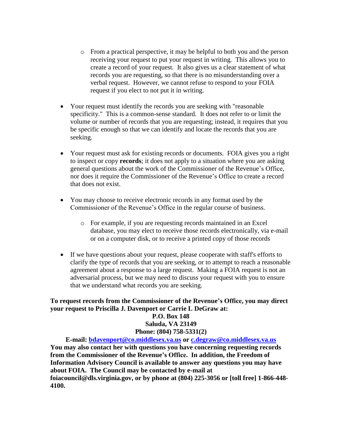- o From a practical perspective, it may be helpful to both you and the person receiving your request to put your request in writing. This allows you to create a record of your request. It also gives us a clear statement of what records you are requesting, so that there is no misunderstanding over a verbal request. However, we cannot refuse to respond to your FOIA request if you elect to not put it in writing.
- Your request must identify the records you are seeking with "reasonable" specificity." This is a common-sense standard. It does not refer to or limit the volume or number of records that you are requesting; instead, it requires that you be specific enough so that we can identify and locate the records that you are seeking.
- Your request must ask for existing records or documents. FOIA gives you a right to inspect or copy **records**; it does not apply to a situation where you are asking general questions about the work of the Commissioner of the Revenue's Office, nor does it require the Commissioner of the Revenue's Office to create a record that does not exist.
- You may choose to receive electronic records in any format used by the Commissioner of the Revenue's Office in the regular course of business.
	- o For example, if you are requesting records maintained in an Excel database, you may elect to receive those records electronically, via e-mail or on a computer disk, or to receive a printed copy of those records
- If we have questions about your request, please cooperate with staff's efforts to clarify the type of records that you are seeking, or to attempt to reach a reasonable agreement about a response to a large request. Making a FOIA request is not an adversarial process, but we may need to discuss your request with you to ensure that we understand what records you are seeking.

#### **To request records from the Commissioner of the Revenue's Office, you may direct your request to Priscilla J. Davenport or Carrie L DeGraw at: P.O. Box 148 Saluda, VA 23149**

#### **Phone: (804) 758-5331(2)**

**E-mail: [bdavenport@co.middlesex.va.us](mailto:bdavenport@co.middlesex.va.us) or [c.degraw@co.middlesex.va.us](mailto:c.degraw@co.middlesex.va.us) You may also contact her with questions you have concerning requesting records from the Commissioner of the Revenue's Office. In addition, the Freedom of Information Advisory Council is available to answer any questions you may have about FOIA. The Council may be contacted by e-mail at foiacouncil@dls.virginia.gov, or by phone at (804) 225-3056 or [toll free] 1-866-448- 4100.**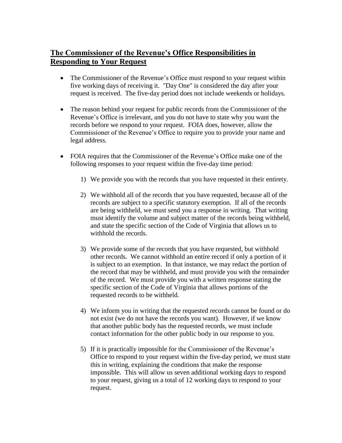### **The Commissioner of the Revenue's Office Responsibilities in Responding to Your Request**

- The Commissioner of the Revenue's Office must respond to your request within five working days of receiving it. "Day One" is considered the day after your request is received. The five-day period does not include weekends or holidays.
- The reason behind your request for public records from the Commissioner of the Revenue's Office is irrelevant, and you do not have to state why you want the records before we respond to your request. FOIA does, however, allow the Commissioner of the Revenue's Office to require you to provide your name and legal address.
- FOIA requires that the Commissioner of the Revenue's Office make one of the following responses to your request within the five-day time period:
	- 1) We provide you with the records that you have requested in their entirety.
	- 2) We withhold all of the records that you have requested, because all of the records are subject to a specific statutory exemption. If all of the records are being withheld, we must send you a response in writing. That writing must identify the volume and subject matter of the records being withheld, and state the specific section of the Code of Virginia that allows us to withhold the records.
	- 3) We provide some of the records that you have requested, but withhold other records. We cannot withhold an entire record if only a portion of it is subject to an exemption. In that instance, we may redact the portion of the record that may be withheld, and must provide you with the remainder of the record. We must provide you with a written response stating the specific section of the Code of Virginia that allows portions of the requested records to be withheld.
	- 4) We inform you in writing that the requested records cannot be found or do not exist (we do not have the records you want). However, if we know that another public body has the requested records, we must include contact information for the other public body in our response to you.
	- 5) If it is practically impossible for the Commissioner of the Revenue's Office to respond to your request within the five-day period, we must state this in writing, explaining the conditions that make the response impossible. This will allow us seven additional working days to respond to your request, giving us a total of 12 working days to respond to your request.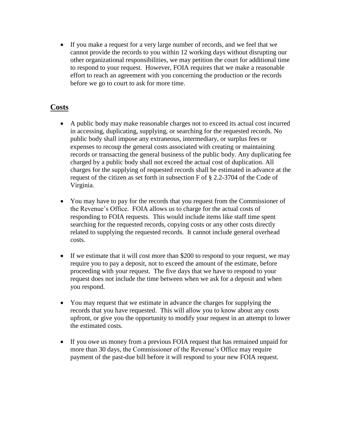If you make a request for a very large number of records, and we feel that we cannot provide the records to you within 12 working days without disrupting our other organizational responsibilities, we may petition the court for additional time to respond to your request. However, FOIA requires that we make a reasonable effort to reach an agreement with you concerning the production or the records before we go to court to ask for more time.

### **Costs**

- A public body may make reasonable charges not to exceed its actual cost incurred in accessing, duplicating, supplying, or searching for the requested records. No public body shall impose any extraneous, intermediary, or surplus fees or expenses to recoup the general costs associated with creating or maintaining records or transacting the general business of the public body. Any duplicating fee charged by a public body shall not exceed the actual cost of duplication. All charges for the supplying of requested records shall be estimated in advance at the request of the citizen as set forth in subsection F of § 2.2-3704 of the Code of Virginia.
- You may have to pay for the records that you request from the Commissioner of the Revenue's Office. FOIA allows us to charge for the actual costs of responding to FOIA requests. This would include items like staff time spent searching for the requested records, copying costs or any other costs directly related to supplying the requested records. It cannot include general overhead costs.
- If we estimate that it will cost more than \$200 to respond to your request, we may require you to pay a deposit, not to exceed the amount of the estimate, before proceeding with your request. The five days that we have to respond to your request does not include the time between when we ask for a deposit and when you respond.
- You may request that we estimate in advance the charges for supplying the records that you have requested. This will allow you to know about any costs upfront, or give you the opportunity to modify your request in an attempt to lower the estimated costs.
- If you owe us money from a previous FOIA request that has remained unpaid for more than 30 days, the Commissioner of the Revenue's Office may require payment of the past-due bill before it will respond to your new FOIA request.